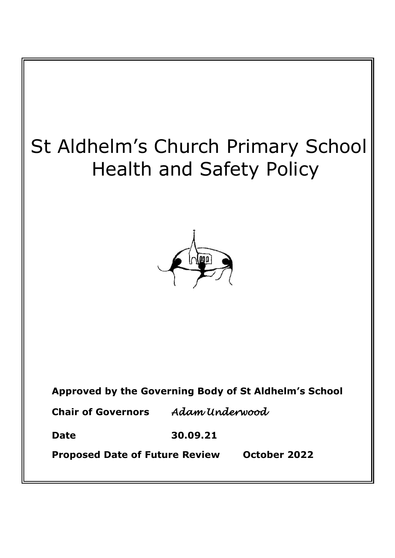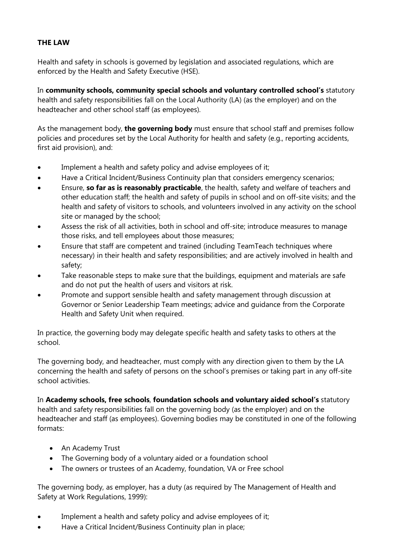## **THE LAW**

Health and safety in schools is governed by legislation and associated regulations, which are enforced by the Health and Safety Executive (HSE).

In **community schools, community special schools and voluntary controlled school's** statutory health and safety responsibilities fall on the Local Authority (LA) (as the employer) and on the headteacher and other school staff (as employees).

As the management body, **the governing body** must ensure that school staff and premises follow policies and procedures set by the Local Authority for health and safety (e.g., reporting accidents, first aid provision), and:

- Implement a health and safety policy and advise employees of it;
- Have a Critical Incident/Business Continuity plan that considers emergency scenarios;
- Ensure, **so far as is reasonably practicable**, the health, safety and welfare of teachers and other education staff; the health and safety of pupils in school and on off-site visits; and the health and safety of visitors to schools, and volunteers involved in any activity on the school site or managed by the school;
- Assess the risk of all activities, both in school and off-site; introduce measures to manage those risks, and tell employees about those measures;
- Ensure that staff are competent and trained (including TeamTeach techniques where necessary) in their health and safety responsibilities; and are actively involved in health and safety;
- Take reasonable steps to make sure that the buildings, equipment and materials are safe and do not put the health of users and visitors at risk.
- Promote and support sensible health and safety management through discussion at Governor or Senior Leadership Team meetings; advice and guidance from the Corporate Health and Safety Unit when required.

In practice, the governing body may delegate specific health and safety tasks to others at the school.

The governing body, and headteacher, must comply with any direction given to them by the LA concerning the health and safety of persons on the school's premises or taking part in any off-site school activities.

In **Academy schools, free schools**, **foundation schools and voluntary aided school's** statutory health and safety responsibilities fall on the governing body (as the employer) and on the headteacher and staff (as employees). Governing bodies may be constituted in one of the following formats:

- An Academy Trust
- The Governing body of a voluntary aided or a foundation school
- The owners or trustees of an Academy, foundation, VA or Free school

The governing body, as employer, has a duty (as required by The Management of Health and Safety at Work Regulations, 1999):

- Implement a health and safety policy and advise employees of it;
- Have a Critical Incident/Business Continuity plan in place;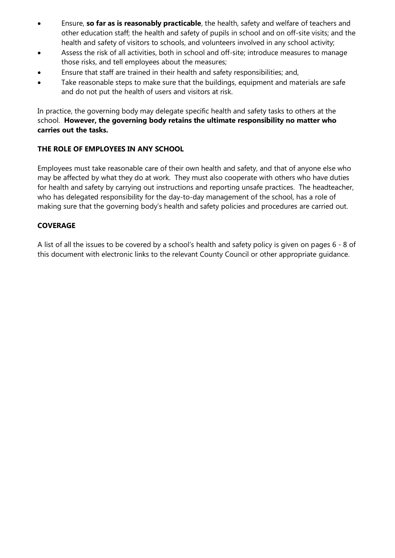- Ensure, **so far as is reasonably practicable**, the health, safety and welfare of teachers and other education staff; the health and safety of pupils in school and on off-site visits; and the health and safety of visitors to schools, and volunteers involved in any school activity;
- Assess the risk of all activities, both in school and off-site; introduce measures to manage those risks, and tell employees about the measures;
- Ensure that staff are trained in their health and safety responsibilities; and,
- Take reasonable steps to make sure that the buildings, equipment and materials are safe and do not put the health of users and visitors at risk.

In practice, the governing body may delegate specific health and safety tasks to others at the school. **However, the governing body retains the ultimate responsibility no matter who carries out the tasks.**

## **THE ROLE OF EMPLOYEES IN ANY SCHOOL**

Employees must take reasonable care of their own health and safety, and that of anyone else who may be affected by what they do at work. They must also cooperate with others who have duties for health and safety by carrying out instructions and reporting unsafe practices. The headteacher, who has delegated responsibility for the day-to-day management of the school, has a role of making sure that the governing body's health and safety policies and procedures are carried out.

### **COVERAGE**

A list of all the issues to be covered by a school's health and safety policy is given on pages 6 - 8 of this document with electronic links to the relevant County Council or other appropriate guidance.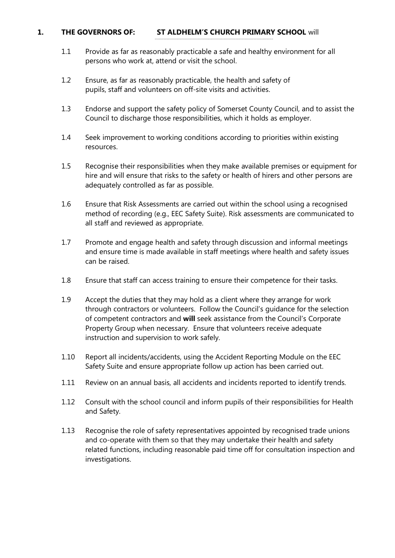#### **1. THE GOVERNORS OF: ST ALDHELM'S CHURCH PRIMARY SCHOOL** will

- 1.1 Provide as far as reasonably practicable a safe and healthy environment for all persons who work at, attend or visit the school.
- 1.2 Ensure, as far as reasonably practicable, the health and safety of pupils, staff and volunteers on off-site visits and activities.
- 1.3 Endorse and support the safety policy of Somerset County Council, and to assist the Council to discharge those responsibilities, which it holds as employer.
- 1.4 Seek improvement to working conditions according to priorities within existing resources.
- 1.5 Recognise their responsibilities when they make available premises or equipment for hire and will ensure that risks to the safety or health of hirers and other persons are adequately controlled as far as possible.
- 1.6 Ensure that Risk Assessments are carried out within the school using a recognised method of recording (e.g., EEC Safety Suite). Risk assessments are communicated to all staff and reviewed as appropriate.
- 1.7 Promote and engage health and safety through discussion and informal meetings and ensure time is made available in staff meetings where health and safety issues can be raised.
- 1.8 Ensure that staff can access training to ensure their competence for their tasks.
- 1.9 Accept the duties that they may hold as a client where they arrange for work through contractors or volunteers. Follow the Council's guidance for the selection of competent contractors and **will** seek assistance from the Council's Corporate Property Group when necessary. Ensure that volunteers receive adequate instruction and supervision to work safely.
- 1.10 Report all incidents/accidents, using the Accident Reporting Module on the EEC Safety Suite and ensure appropriate follow up action has been carried out.
- 1.11 Review on an annual basis, all accidents and incidents reported to identify trends.
- 1.12 Consult with the school council and inform pupils of their responsibilities for Health and Safety.
- 1.13 Recognise the role of safety representatives appointed by recognised trade unions and co-operate with them so that they may undertake their health and safety related functions, including reasonable paid time off for consultation inspection and investigations.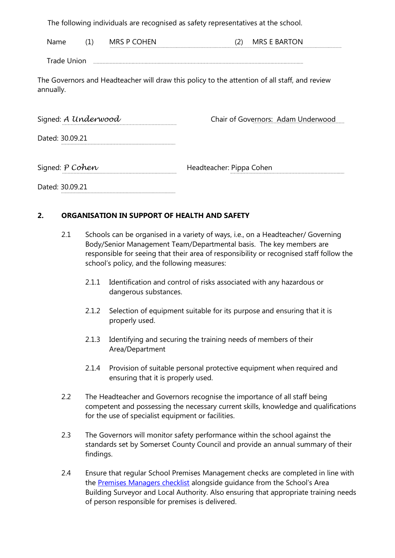The following individuals are recognised as safety representatives at the school.

| ,,<br> | ___ |  |  |
|--------|-----|--|--|
|        |     |  |  |

Trade Union

The Governors and Headteacher will draw this policy to the attention of all staff, and review annually.

| Signed: A Underwood | Chair of Governors: Adam Underwood |  |
|---------------------|------------------------------------|--|
|                     |                                    |  |

Dated: 30.09.21

Signed: *P Cohen* Headteacher: Pippa Cohen

Dated: 30.09.21

### **2. ORGANISATION IN SUPPORT OF HEALTH AND SAFETY**

- 2.1 Schools can be organised in a variety of ways, i.e., on a Headteacher/ Governing Body/Senior Management Team/Departmental basis. The key members are responsible for seeing that their area of responsibility or recognised staff follow the school's policy, and the following measures:
	- 2.1.1 Identification and control of risks associated with any hazardous or dangerous substances.
	- 2.1.2 Selection of equipment suitable for its purpose and ensuring that it is properly used.
	- 2.1.3 Identifying and securing the training needs of members of their Area/Department
	- 2.1.4 Provision of suitable personal protective equipment when required and ensuring that it is properly used.
- 2.2 The Headteacher and Governors recognise the importance of all staff being competent and possessing the necessary current skills, knowledge and qualifications for the use of specialist equipment or facilities.
- 2.3 The Governors will monitor safety performance within the school against the standards set by Somerset County Council and provide an annual summary of their findings.
- 2.4 Ensure that regular School Premises Management checks are completed in line with the [Premises Managers checklist](http://extranet.somerset.gov.uk/EasysiteWeb/getresource.axd?AssetID=134705&type=full&servicet%20ype=Attachment) alongside guidance from the School's Area Building Surveyor and Local Authority. Also ensuring that appropriate training needs of person responsible for premises is delivered.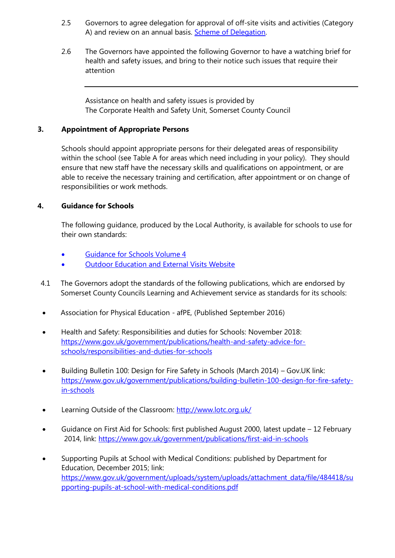- 2.5 Governors to agree delegation for approval of off-site visits and activities (Category A) and review on an annual basis. [Scheme of Delegation.](https://www.somerset.org.uk/sites/sccoea/SiteAssets/SitePages/Templates%20and%20Forms/Governor_to_Head_Delegation_for_Cat_A%5b1%5d%20(3).doc)
- 2.6 The Governors have appointed the following Governor to have a watching brief for health and safety issues, and bring to their notice such issues that require their attention

Assistance on health and safety issues is provided by The Corporate Health and Safety Unit, Somerset County Council

#### **3. Appointment of Appropriate Persons**

Schools should appoint appropriate persons for their delegated areas of responsibility within the school (see Table A for areas which need including in your policy). They should ensure that new staff have the necessary skills and qualifications on appointment, or are able to receive the necessary training and certification, after appointment or on change of responsibilities or work methods.

#### **4. Guidance for Schools**

The following guidance, produced by the Local Authority, is available for schools to use for their own standards:

- [Guidance for Schools Volume 4](http://extranet.somerset.gov.uk/EasySiteWeb/GatewayLink.aspx?alId=32832)
- [Outdoor Education and External Visits Website](https://www.somerset.org.uk/sites/sccoea/SitePages/Home.aspx)
- 4.1 The Governors adopt the standards of the following publications, which are endorsed by Somerset County Councils Learning and Achievement service as standards for its schools:
- Association for Physical Education afPE, (Published September 2016)
- Health and Safety: Responsibilities and duties for Schools: November 2018: [https://www.gov.uk/government/publications/health-and-safety-advice-for](https://www.gov.uk/government/publications/health-and-safety-advice-for-schools/responsibilities-and-duties-for-schools)[schools/responsibilities-and-duties-for-schools](https://www.gov.uk/government/publications/health-and-safety-advice-for-schools/responsibilities-and-duties-for-schools)
- Building Bulletin 100: Design for Fire Safety in Schools (March 2014) Gov.UK link: [https://www.gov.uk/government/publications/building-bulletin-100-design-for-fire-safety](https://www.gov.uk/government/publications/building-bulletin-100-design-for-fire-safety-in-schools)[in-schools](https://www.gov.uk/government/publications/building-bulletin-100-design-for-fire-safety-in-schools)
- Learning Outside of the Classroom:<http://www.lotc.org.uk/>
- Guidance on First Aid for Schools: first published August 2000, latest update 12 February 2014, link:<https://www.gov.uk/government/publications/first-aid-in-schools>
- Supporting Pupils at School with Medical Conditions: published by Department for Education, December 2015; link: [https://www.gov.uk/government/uploads/system/uploads/attachment\\_data/file/484418/su](https://www.gov.uk/government/uploads/system/uploads/attachment_data/file/484418/supporting-pupils-at-school-with-medical-conditions.pdf) [pporting-pupils-at-school-with-medical-conditions.pdf](https://www.gov.uk/government/uploads/system/uploads/attachment_data/file/484418/supporting-pupils-at-school-with-medical-conditions.pdf)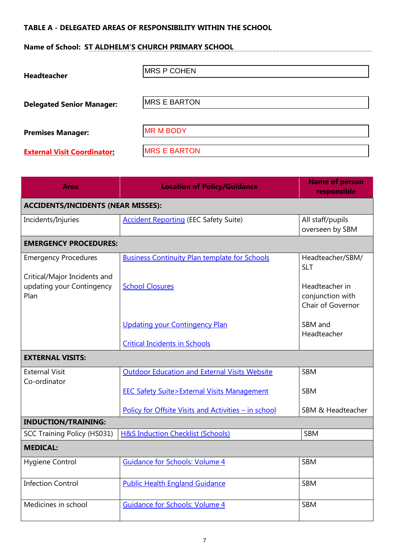## **TABLE A - DELEGATED AREAS OF RESPONSIBILITY WITHIN THE SCHOOL**

# **Name of School: ST ALDHELM'S CHURCH PRIMARY SCHOOL**

| <b>Headteacher</b>                 | <b>MRS P COHEN</b>  |
|------------------------------------|---------------------|
| <b>Delegated Senior Manager:</b>   | <b>MRS E BARTON</b> |
| <b>Premises Manager:</b>           | <b>MR M BODY</b>    |
| <b>External Visit Coordinator:</b> | <b>MRS E BARTON</b> |

| <b>Area</b>                                                       | <b>Location of Policy/Guidance</b>                    | <b>Name of person</b><br>responsible                    |
|-------------------------------------------------------------------|-------------------------------------------------------|---------------------------------------------------------|
| <b>ACCIDENTS/INCIDENTS (NEAR MISSES):</b>                         |                                                       |                                                         |
| Incidents/Injuries                                                | <b>Accident Reporting (EEC Safety Suite)</b>          | All staff/pupils<br>overseen by SBM                     |
| <b>EMERGENCY PROCEDURES:</b>                                      |                                                       |                                                         |
| <b>Emergency Procedures</b>                                       | <b>Business Continuity Plan template for Schools</b>  | Headteacher/SBM/<br><b>SLT</b>                          |
| Critical/Major Incidents and<br>updating your Contingency<br>Plan | <b>School Closures</b>                                | Headteacher in<br>conjunction with<br>Chair of Governor |
|                                                                   | <b>Updating your Contingency Plan</b>                 | SBM and<br>Headteacher                                  |
|                                                                   | <b>Critical Incidents in Schools</b>                  |                                                         |
| <b>EXTERNAL VISITS:</b>                                           |                                                       |                                                         |
| <b>External Visit</b>                                             | <b>Outdoor Education and External Visits Website</b>  | <b>SBM</b>                                              |
| Co-ordinator                                                      | <b>EEC Safety Suite&gt;External Visits Management</b> | <b>SBM</b>                                              |
|                                                                   | Policy for Offsite Visits and Activities - in school  | SBM & Headteacher                                       |
| <b>INDUCTION/TRAINING:</b>                                        |                                                       |                                                         |
| <b>SCC Training Policy (HS031)</b>                                | H&S Induction Checklist (Schools)                     | <b>SBM</b>                                              |
| <b>MEDICAL:</b>                                                   |                                                       |                                                         |
| Hygiene Control                                                   | <b>Guidance for Schools: Volume 4</b>                 | <b>SBM</b>                                              |
| <b>Infection Control</b>                                          | <b>Public Health England Guidance</b>                 | <b>SBM</b>                                              |
| Medicines in school                                               | <b>Guidance for Schools: Volume 4</b>                 | <b>SBM</b>                                              |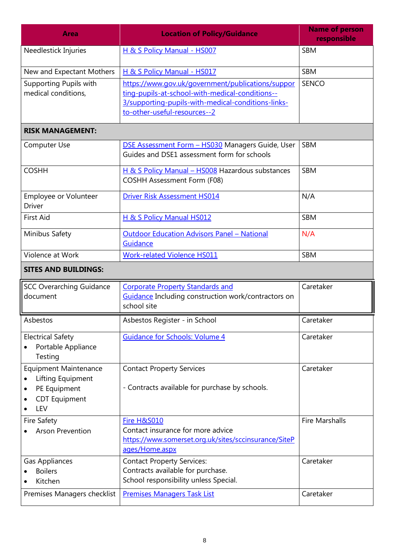| <b>Area</b>                                                                                                        | <b>Location of Policy/Guidance</b>                                                                                                                                                         | <b>Name of person</b><br>responsible |  |
|--------------------------------------------------------------------------------------------------------------------|--------------------------------------------------------------------------------------------------------------------------------------------------------------------------------------------|--------------------------------------|--|
| Needlestick Injuries                                                                                               | H & S Policy Manual - HS007                                                                                                                                                                | <b>SBM</b>                           |  |
| New and Expectant Mothers                                                                                          | H & S Policy Manual - HS017                                                                                                                                                                | <b>SBM</b>                           |  |
| Supporting Pupils with<br>medical conditions,                                                                      | https://www.gov.uk/government/publications/suppor<br>ting-pupils-at-school-with-medical-conditions--<br>3/supporting-pupils-with-medical-conditions-links-<br>to-other-useful-resources--2 | <b>SENCO</b>                         |  |
| <b>RISK MANAGEMENT:</b>                                                                                            |                                                                                                                                                                                            |                                      |  |
| Computer Use                                                                                                       | <b>DSE Assessment Form - HS030</b> Managers Guide, User<br>Guides and DSE1 assessment form for schools                                                                                     | <b>SBM</b>                           |  |
| <b>COSHH</b>                                                                                                       | H & S Policy Manual - HS008 Hazardous substances<br><b>COSHH Assessment Form (F08)</b>                                                                                                     | <b>SBM</b>                           |  |
| Employee or Volunteer<br><b>Driver</b>                                                                             | <b>Driver Risk Assessment HS014</b>                                                                                                                                                        | N/A                                  |  |
| <b>First Aid</b>                                                                                                   | H & S Policy Manual HS012                                                                                                                                                                  | <b>SBM</b>                           |  |
| Minibus Safety                                                                                                     | <b>Outdoor Education Advisors Panel - National</b><br>Guidance                                                                                                                             | N/A                                  |  |
| Violence at Work                                                                                                   | <b>Work-related Violence HS011</b>                                                                                                                                                         | <b>SBM</b>                           |  |
| <b>SITES AND BUILDINGS:</b>                                                                                        |                                                                                                                                                                                            |                                      |  |
| <b>SCC Overarching Guidance</b><br>document                                                                        | <b>Corporate Property Standards and</b><br>Guidance Including construction work/contractors on<br>school site                                                                              | Caretaker                            |  |
| Asbestos                                                                                                           | Asbestos Register - in School                                                                                                                                                              | Caretaker                            |  |
| <b>Electrical Safety</b><br>Portable Appliance<br>Testing                                                          | <b>Guidance for Schools: Volume 4</b>                                                                                                                                                      | Caretaker                            |  |
| <b>Equipment Maintenance</b><br>Lifting Equipment<br>$\bullet$<br>PE Equipment<br>٠<br><b>CDT</b> Equipment<br>LEV | <b>Contact Property Services</b><br>- Contracts available for purchase by schools.                                                                                                         | Caretaker                            |  |
| <b>Fire Safety</b><br><b>Arson Prevention</b>                                                                      | Fire H&S010<br>Contact insurance for more advice<br>https://www.somerset.org.uk/sites/sccinsurance/SiteP<br>ages/Home.aspx                                                                 | <b>Fire Marshalls</b>                |  |
| <b>Gas Appliances</b><br><b>Boilers</b><br>Kitchen                                                                 | <b>Contact Property Services:</b><br>Contracts available for purchase.<br>School responsibility unless Special.                                                                            | Caretaker                            |  |
| Premises Managers checklist                                                                                        | <b>Premises Managers Task List</b>                                                                                                                                                         | Caretaker                            |  |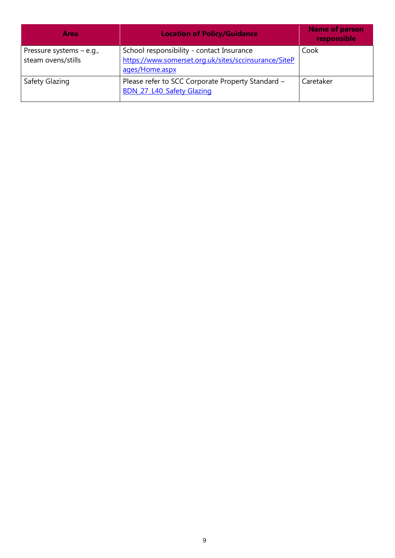| Area                                             | <b>Location of Policy/Guidance</b>                                                                                  | <b>Name of person</b><br>responsible |
|--------------------------------------------------|---------------------------------------------------------------------------------------------------------------------|--------------------------------------|
| Pressure systems $-$ e.g.,<br>steam ovens/stills | School responsibility - contact Insurance<br>https://www.somerset.org.uk/sites/sccinsurance/SiteP<br>ages/Home.aspx | Cook                                 |
| Safety Glazing                                   | Please refer to SCC Corporate Property Standard -<br><b>BDN 27 L40 Safety Glazing</b>                               | Caretaker                            |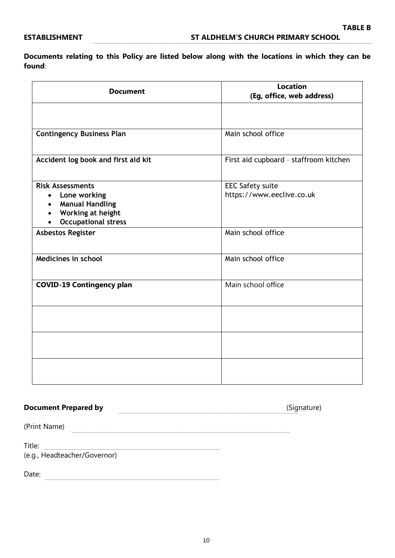**Documents relating to this Policy are listed below along with the locations in which they can be found**:

| <b>Document</b>                                                                                                                                | <b>Location</b><br>(Eg, office, web address)         |
|------------------------------------------------------------------------------------------------------------------------------------------------|------------------------------------------------------|
|                                                                                                                                                |                                                      |
| <b>Contingency Business Plan</b>                                                                                                               | Main school office                                   |
| Accident log book and first aid kit                                                                                                            | First aid cupboard - staffroom kitchen               |
| <b>Risk Assessments</b><br>Lone working<br>$\bullet$<br><b>Manual Handling</b><br>$\bullet$<br>Working at height<br><b>Occupational stress</b> | <b>EEC Safety suite</b><br>https://www.eeclive.co.uk |
| <b>Asbestos Register</b>                                                                                                                       | Main school office                                   |
| Medicines in school                                                                                                                            | Main school office                                   |
| <b>COVID-19 Contingency plan</b>                                                                                                               | Main school office                                   |
|                                                                                                                                                |                                                      |
|                                                                                                                                                |                                                      |
|                                                                                                                                                |                                                      |

## **Document Prepared by** (Signature)

(Print Name)

Title: **<u>..............................</u>...** 

(e.g., Headteacher/Governor)